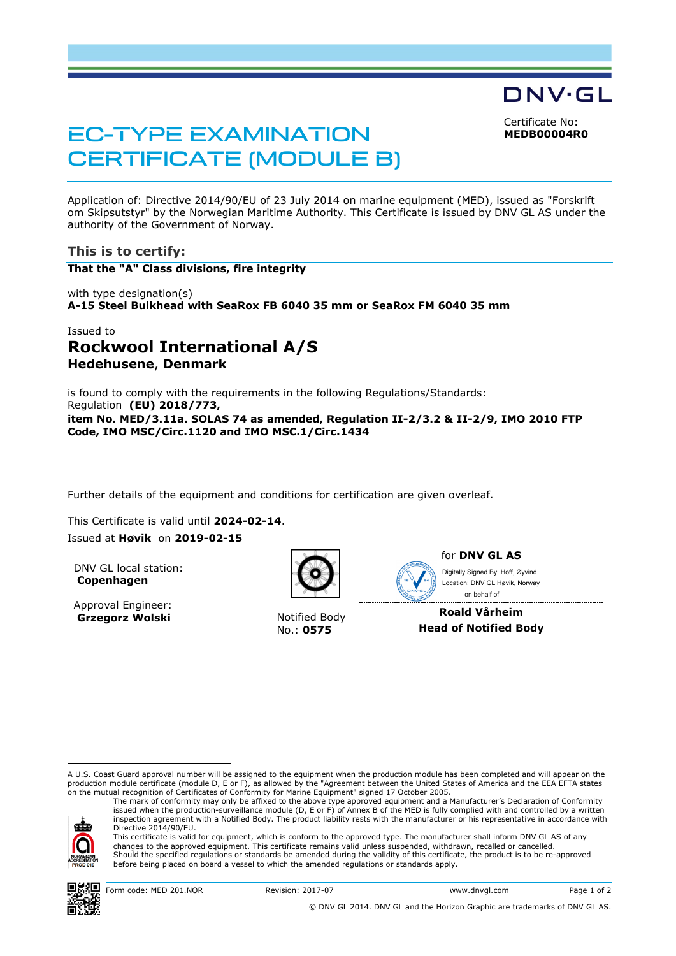Certificate No: **MEDB00004R0**

DNV·GL

# EC-TYPE EXAMINATION CERTIFICATE (MODULE B)

Application of: Directive 2014/90/EU of 23 July 2014 on marine equipment (MED), issued as "Forskrift om Skipsutstyr" by the Norwegian Maritime Authority. This Certificate is issued by DNV GL AS under the authority of the Government of Norway.

#### **This is to certify:**

**That the "A" Class divisions, fire integrity**

with type designation(s) **A-15 Steel Bulkhead with SeaRox FB 6040 35 mm or SeaRox FM 6040 35 mm**

## Issued to **Rockwool International A/S Hedehusene**, **Denmark**

is found to comply with the requirements in the following Regulations/Standards: Regulation **(EU) 2018/773, item No. MED/3.11a. SOLAS 74 as amended, Regulation II-2/3.2 & II-2/9, IMO 2010 FTP Code, IMO MSC/Circ.1120 and IMO MSC.1/Circ.1434** 

Further details of the equipment and conditions for certification are given overleaf.

This Certificate is valid until **2024-02-14**. Issued at **Høvik** on **2019-02-15**

DNV GL local station: **Copenhagen**

Approval Engineer: **Grzegorz Wolski** Notified Body



No.: **0575**



for **DNV GL AS**

Digitally Signed By: Hoff, Øyvind Location: DNV GL Høvik, Norway

 on behalf of**Roald Vårheim Head of Notified Body**

A U.S. Coast Guard approval number will be assigned to the equipment when the production module has been completed and will appear on the production module certificate (module D, E or F), as allowed by the "Agreement between the United States of America and the EEA EFTA states on the mutual recognition of Certificates of Conformity for Marine Equipment" signed 17 October 2005.

The mark of conformity may only be affixed to the above type approved equipment and a Manufacturer's Declaration of Conformity issued when the production-surveillance module (D, E or F) of Annex B of the MED is fully complied with and controlled by a written inspection agreement with a Notified Body. The product liability rests with the manufacturer or his representative in accordance with ele Directive 2014/90/EU.





ı

© DNV GL 2014. DNV GL and the Horizon Graphic are trademarks of DNV GL AS.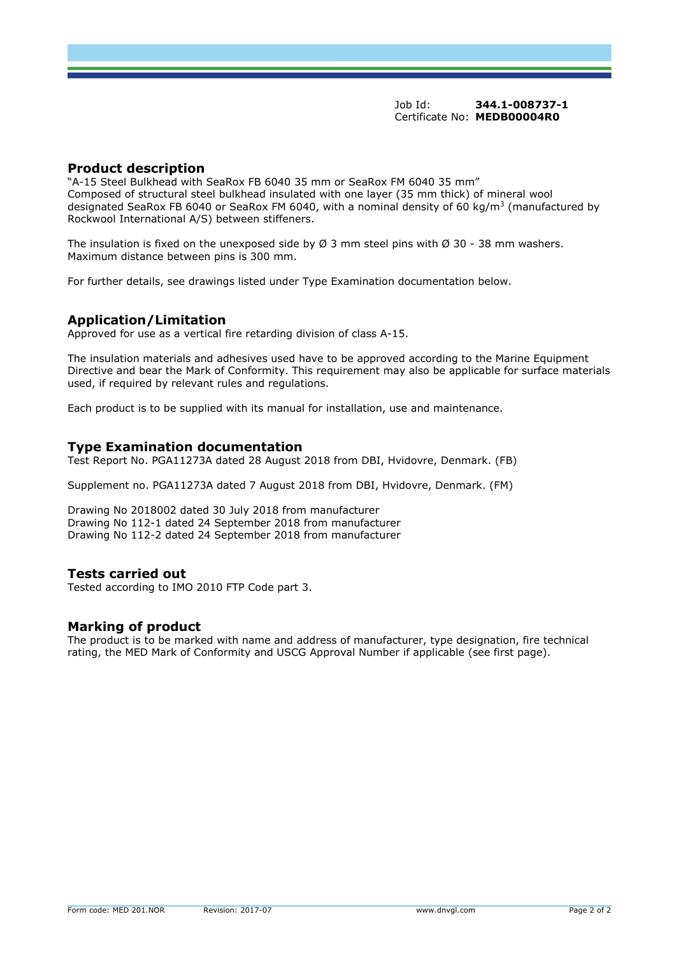Job Id: **344.1-008737-1** Certificate No: **MEDB00004R0**

### **Product description**

"A-15 Steel Bulkhead with SeaRox FB 6040 35 mm or SeaRox FM 6040 35 mm" Composed of structural steel bulkhead insulated with one layer (35 mm thick) of mineral wool designated SeaRox FB 6040 or SeaRox FM 6040, with a nominal density of 60 kg/m<sup>3</sup> (manufactured by Rockwool International A/S) between stiffeners.

The insulation is fixed on the unexposed side by  $\varnothing$  3 mm steel pins with  $\varnothing$  30 - 38 mm washers. Maximum distance between pins is 300 mm.

For further details, see drawings listed under Type Examination documentation below.

#### **Application/Limitation**

Approved for use as a vertical fire retarding division of class A-15.

The insulation materials and adhesives used have to be approved according to the Marine Equipment Directive and bear the Mark of Conformity. This requirement may also be applicable for surface materials used, if required by relevant rules and regulations.

Each product is to be supplied with its manual for installation, use and maintenance.

#### **Type Examination documentation**

Test Report No. PGA11273A dated 28 August 2018 from DBI, Hvidovre, Denmark. (FB)

Supplement no. PGA11273A dated 7 August 2018 from DBI, Hvidovre, Denmark. (FM)

Drawing No 2018002 dated 30 July 2018 from manufacturer Drawing No 112-1 dated 24 September 2018 from manufacturer Drawing No 112-2 dated 24 September 2018 from manufacturer

#### **Tests carried out**

Tested according to IMO 2010 FTP Code part 3.

## **Marking of product**

The product is to be marked with name and address of manufacturer, type designation, fire technical rating, the MED Mark of Conformity and USCG Approval Number if applicable (see first page).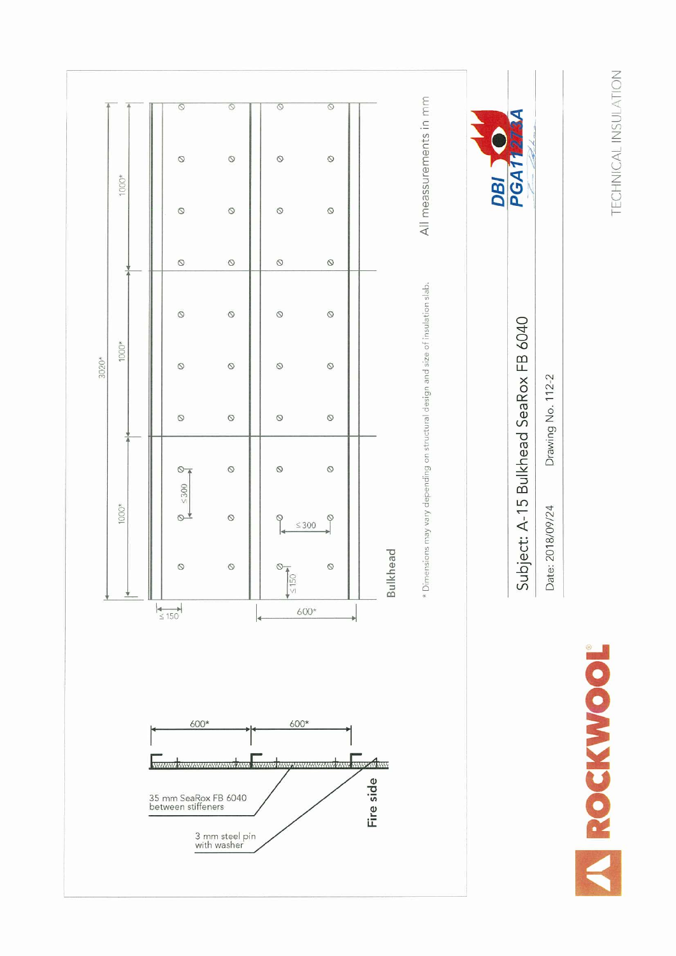**TECHNICAL INSULATION**